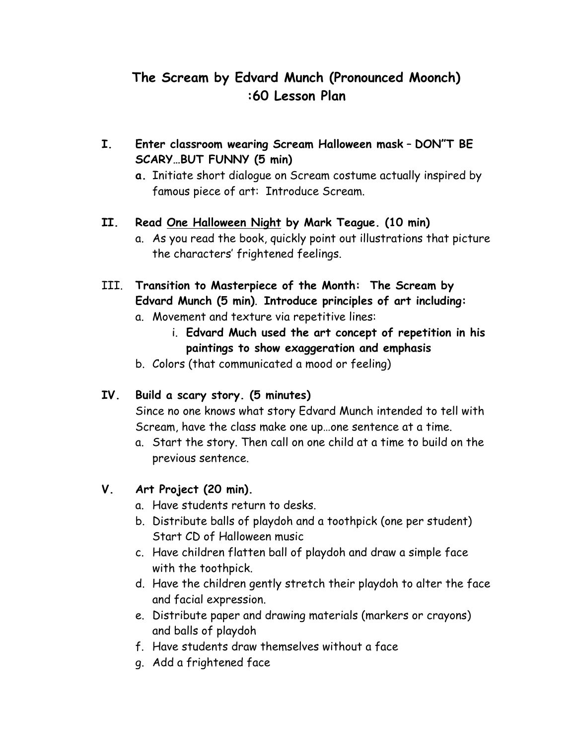# **The Scream by Edvard Munch (Pronounced Moonch) :60 Lesson Plan**

- **I. Enter classroom wearing Scream Halloween mask DON"T BE SCARY…BUT FUNNY (5 min)**
	- **a.** Initiate short dialogue on Scream costume actually inspired by famous piece of art: Introduce Scream.

## **II. Read One Halloween Night by Mark Teague. (10 min)**

- a. As you read the book, quickly point out illustrations that picture the characters' frightened feelings.
- III. **Transition to Masterpiece of the Month: The Scream by Edvard Munch (5 min)**. **Introduce principles of art including:**
	- a. Movement and texture via repetitive lines:
		- i. **Edvard Much used the art concept of repetition in his paintings to show exaggeration and emphasis**
	- b. Colors (that communicated a mood or feeling)

## **IV. Build a scary story. (5 minutes)**

Since no one knows what story Edvard Munch intended to tell with Scream, have the class make one up…one sentence at a time.

a. Start the story. Then call on one child at a time to build on the previous sentence.

## **V. Art Project (20 min).**

- a. Have students return to desks.
- b. Distribute balls of playdoh and a toothpick (one per student) Start CD of Halloween music
- c. Have children flatten ball of playdoh and draw a simple face with the toothpick.
- d. Have the children gently stretch their playdoh to alter the face and facial expression.
- e. Distribute paper and drawing materials (markers or crayons) and balls of playdoh
- f. Have students draw themselves without a face
- g. Add a frightened face